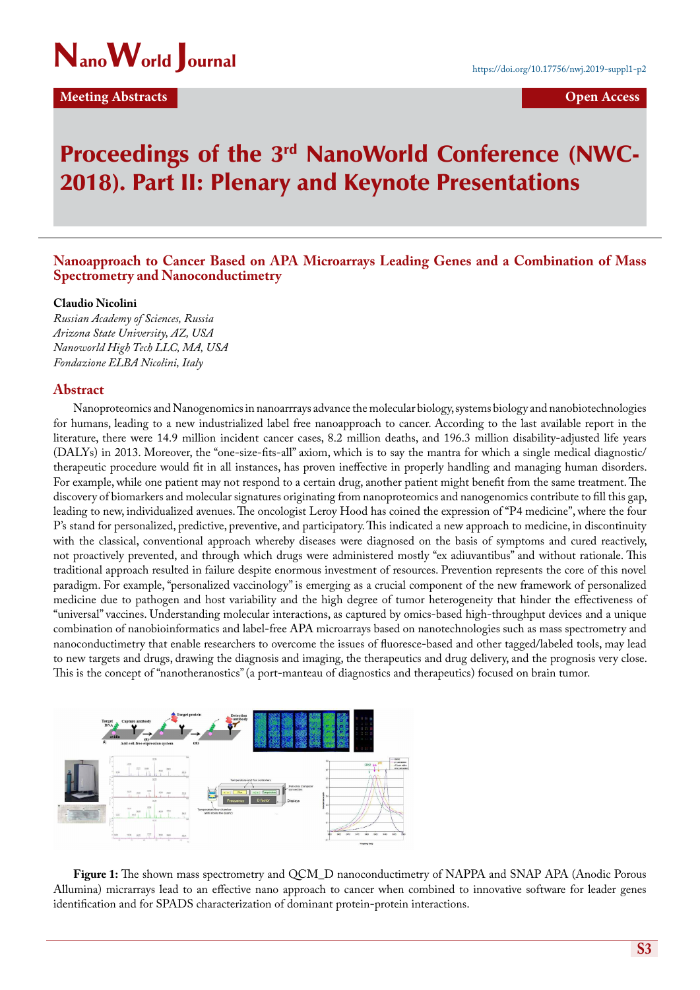

**Meeting Abstracts Contracts Open Access** 

# Proceedings of the 3<sup>rd</sup> NanoWorld Conference (NWC-2018). Part II: Plenary and Keynote Presentations

# **Nanoapproach to Cancer Based on APA Microarrays Leading Genes and a Combination of Mass Spectrometry and Nanoconductimetry**

### **Claudio Nicolini**

*Russian Academy of Sciences, Russia Arizona State University, AZ, USA Nanoworld High Tech LLC, MA, USA Fondazione ELBA Nicolini, Italy*

## **Abstract**

Nanoproteomics and Nanogenomics in nanoarrrays advance the molecular biology, systems biology and nanobiotechnologies for humans, leading to a new industrialized label free nanoapproach to cancer. According to the last available report in the literature, there were 14.9 million incident cancer cases, 8.2 million deaths, and 196.3 million disability-adjusted life years (DALYs) in 2013. Moreover, the "one-size-fits-all" axiom, which is to say the mantra for which a single medical diagnostic/ therapeutic procedure would fit in all instances, has proven ineffective in properly handling and managing human disorders. For example, while one patient may not respond to a certain drug, another patient might benefit from the same treatment. The discovery of biomarkers and molecular signatures originating from nanoproteomics and nanogenomics contribute to fill this gap, leading to new, individualized avenues. The oncologist Leroy Hood has coined the expression of "P4 medicine", where the four P's stand for personalized, predictive, preventive, and participatory. This indicated a new approach to medicine, in discontinuity with the classical, conventional approach whereby diseases were diagnosed on the basis of symptoms and cured reactively, not proactively prevented, and through which drugs were administered mostly "ex adiuvantibus" and without rationale. This traditional approach resulted in failure despite enormous investment of resources. Prevention represents the core of this novel paradigm. For example, "personalized vaccinology" is emerging as a crucial component of the new framework of personalized medicine due to pathogen and host variability and the high degree of tumor heterogeneity that hinder the effectiveness of "universal" vaccines. Understanding molecular interactions, as captured by omics-based high-throughput devices and a unique combination of nanobioinformatics and label-free APA microarrays based on nanotechnologies such as mass spectrometry and nanoconductimetry that enable researchers to overcome the issues of fluoresce-based and other tagged/labeled tools, may lead to new targets and drugs, drawing the diagnosis and imaging, the therapeutics and drug delivery, and the prognosis very close. This is the concept of "nanotheranostics" (a port-manteau of diagnostics and therapeutics) focused on brain tumor.



**Figure 1:** The shown mass spectrometry and QCM\_D nanoconductimetry of NAPPA and SNAP APA (Anodic Porous Allumina) micrarrays lead to an effective nano approach to cancer when combined to innovative software for leader genes identification and for SPADS characterization of dominant protein-protein interactions.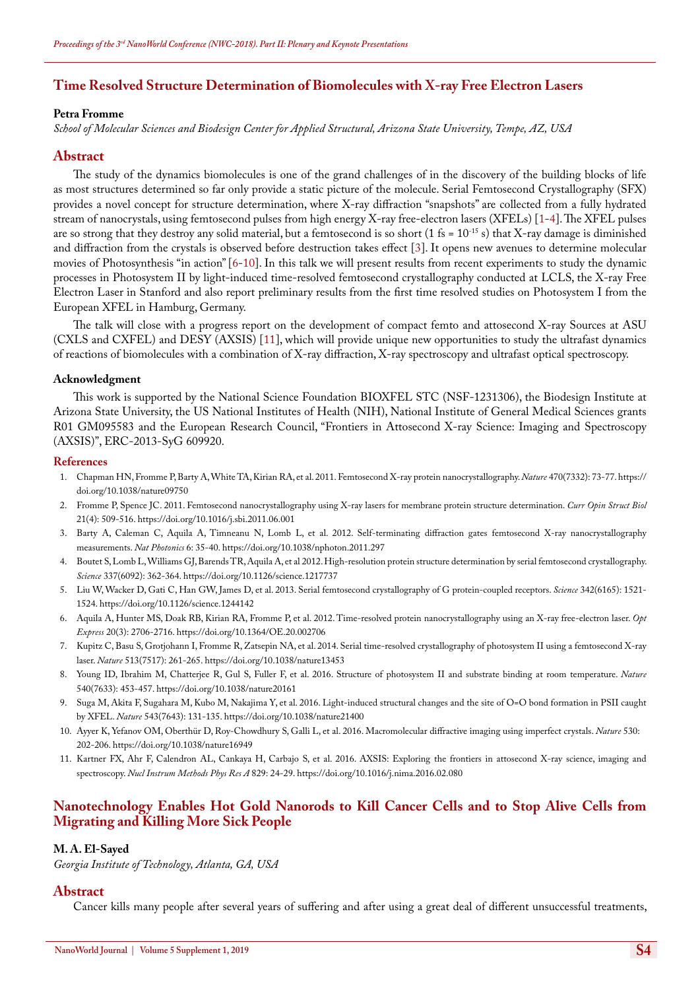# **Time Resolved Structure Determination of Biomolecules with X-ray Free Electron Lasers**

## **Petra Fromme**

*School of Molecular Sciences and Biodesign Center for Applied Structural, Arizona State University, Tempe, AZ, USA*

## **Abstract**

The study of the dynamics biomolecules is one of the grand challenges of in the discovery of the building blocks of life as most structures determined so far only provide a static picture of the molecule. Serial Femtosecond Crystallography (SFX) provides a novel concept for structure determination, where X-ray diffraction "snapshots" are collected from a fully hydrated stream of nanocrystals, using femtosecond pulses from high energy X-ray free-electron lasers (XFELs) [1-4]. The XFEL pulses are so strong that they destroy any solid material, but a femtosecond is so short  $(1 \text{ fs} = 10^{-15} \text{ s})$  that X-ray damage is diminished and diffraction from the crystals is observed before destruction takes effect [3]. It opens new avenues to determine molecular movies of Photosynthesis "in action" [6-10]. In this talk we will present results from recent experiments to study the dynamic processes in Photosystem II by light-induced time-resolved femtosecond crystallography conducted at LCLS, the X-ray Free Electron Laser in Stanford and also report preliminary results from the first time resolved studies on Photosystem I from the European XFEL in Hamburg, Germany.

The talk will close with a progress report on the development of compact femto and attosecond X-ray Sources at ASU (CXLS and CXFEL) and DESY (AXSIS) [11], which will provide unique new opportunities to study the ultrafast dynamics of reactions of biomolecules with a combination of X-ray diffraction, X-ray spectroscopy and ultrafast optical spectroscopy.

#### **Acknowledgment**

This work is supported by the National Science Foundation BIOXFEL STC (NSF-1231306), the Biodesign Institute at Arizona State University, the US National Institutes of Health (NIH), National Institute of General Medical Sciences grants R01 GM095583 and the European Research Council, "Frontiers in Attosecond X-ray Science: Imaging and Spectroscopy (AXSIS)", ERC-2013-SyG 609920.

### **References**

- 1. [Chapman HN, Fromme P, Barty A, White TA, Kirian RA, et al. 2011. Femtosecond X-ray protein nanocrystallography.](https://www.ncbi.nlm.nih.gov/pubmed/21293373) *Nature* 470(7332): 73-77.[https://](https://doi.org/10.1038/nature09750) [doi.org/10.1038/nature09750](https://doi.org/10.1038/nature09750)
- 2. [Fromme P, Spence JC. 2011. Femtosecond nanocrystallography using X-ray lasers for membrane protein structure determination.](https://www.ncbi.nlm.nih.gov/pubmed/21752635) *Curr Opin Struct Biol* [21\(4\): 509-516.](https://www.ncbi.nlm.nih.gov/pubmed/21752635) <https://doi.org/10.1016/j.sbi.2011.06.001>
- 3. [Barty A, Caleman C, Aquila A, Timneanu N, Lomb L, et al. 2012. Self-terminating diffraction gates femtosecond X-ray nanocrystallography](https://www.nature.com/articles/nphoton.2011.297)  [measurements.](https://www.nature.com/articles/nphoton.2011.297) *Nat Photonics* 6: 35-40. <https://doi.org/10.1038/nphoton.2011.297>
- 4. [Boutet S, Lomb L, Williams GJ, Barends TR, Aquila A, et al 2012. High-resolution protein structure determination by serial femtosecond crystallography.](https://www.ncbi.nlm.nih.gov/pubmed/22653729)  *Science* [337\(6092\): 362-364.](https://www.ncbi.nlm.nih.gov/pubmed/22653729) <https://doi.org/10.1126/science.1217737>
- 5. [Liu W, Wacker D, Gati C, Han GW, James D, et al. 2013. Serial femtosecond crystallography of G protein-coupled receptors.](https://www.ncbi.nlm.nih.gov/pubmed/24357322) *Science* 342(6165): 1521- [1524.](https://www.ncbi.nlm.nih.gov/pubmed/24357322) <https://doi.org/10.1126/science.1244142>
- 6. [Aquila A, Hunter MS, Doak RB, Kirian RA, Fromme P, et al. 2012. Time-resolved protein nanocrystallography using an X-ray free-electron laser.](https://www.ncbi.nlm.nih.gov/pubmed/22330507) *Opt Express* [20\(3\): 2706-2716.](https://www.ncbi.nlm.nih.gov/pubmed/22330507) <https://doi.org/10.1364/OE.20.002706>
- 7. [Kupitz C, Basu S, Grotjohann I, Fromme R, Zatsepin NA, et al. 2014. Serial time-resolved crystallography of photosystem II using a femtosecond X-ray](https://www.ncbi.nlm.nih.gov/pubmed/25043005)  laser. *Nature* [513\(7517\): 261-265.](https://www.ncbi.nlm.nih.gov/pubmed/25043005) <https://doi.org/10.1038/nature13453>
- 8. [Young ID, Ibrahim M, Chatterjee R, Gul S, Fuller F, et al. 2016. Structure of photosystem II and substrate binding at room temperature.](https://www.ncbi.nlm.nih.gov/pubmed/27871088) *Nature* [540\(7633\): 453-457.](https://www.ncbi.nlm.nih.gov/pubmed/27871088) <https://doi.org/10.1038/nature20161>
- 9. Suga M, Akita F, Sugahara M, Kubo M, Nakajima Y, et al. 2016. Light-induced structural changes and the site of O=O bond formation in PSII caught by XFEL. *Nature* [543\(7643\): 131-135.](https://www.ncbi.nlm.nih.gov/pubmed/28219079) <https://doi.org/10.1038/nature21400>
- 10. [Ayyer K, Yefanov OM, Oberthür D, Roy-Chowdhury S, Galli L, et al. 2016. Macromolecular diffractive imaging using imperfect crystals.](https://www.nature.com/articles/nature16949) *Nature* 530: [202-206.](https://www.nature.com/articles/nature16949) <https://doi.org/10.1038/nature16949>
- 11. [Kartner FX, Ahr F, Calendron AL, Cankaya H, Carbajo S, et al. 2016. AXSIS: Exploring the frontiers in attosecond X-ray science, imaging and](https://www.sciencedirect.com/science/article/pii/S0168900216002564)  spectroscopy. *[Nucl Instrum Methods Phys Res A](https://www.sciencedirect.com/science/article/pii/S0168900216002564)* 829: 24-29. <https://doi.org/10.1016/j.nima.2016.02.080>

# **Nanotechnology Enables Hot Gold Nanorods to Kill Cancer Cells and to Stop Alive Cells from Migrating and Killing More Sick People**

#### **M. A. El-Sayed**

*Georgia Institute of Technology, Atlanta, GA, USA*

## **Abstract**

Cancer kills many people after several years of suffering and after using a great deal of different unsuccessful treatments,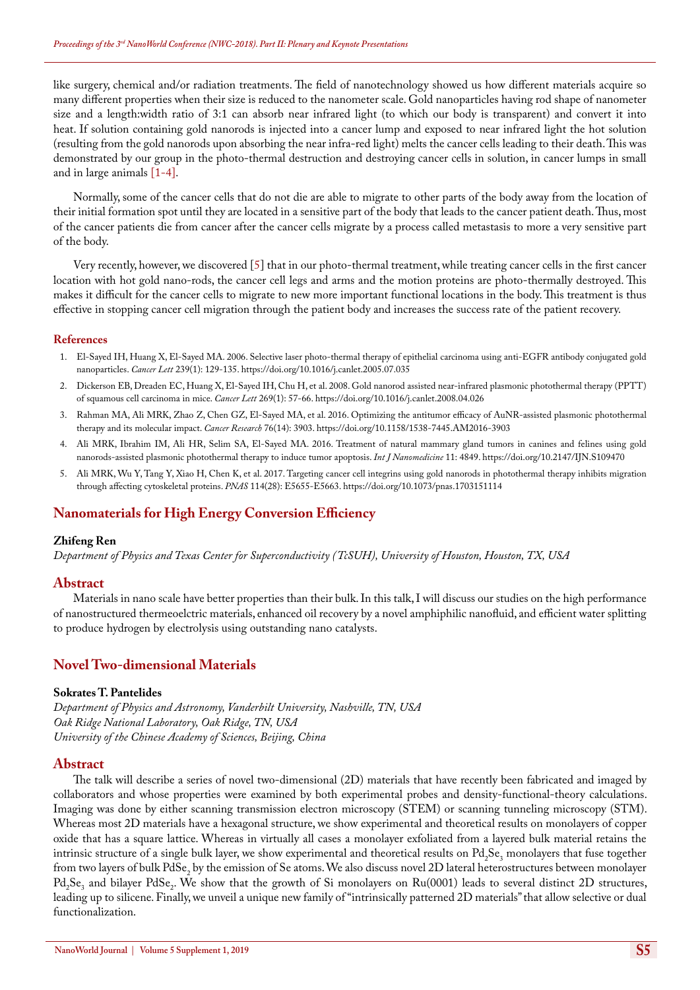like surgery, chemical and/or radiation treatments. The field of nanotechnology showed us how different materials acquire so many different properties when their size is reduced to the nanometer scale. Gold nanoparticles having rod shape of nanometer size and a length:width ratio of 3:1 can absorb near infrared light (to which our body is transparent) and convert it into heat. If solution containing gold nanorods is injected into a cancer lump and exposed to near infrared light the hot solution (resulting from the gold nanorods upon absorbing the near infra-red light) melts the cancer cells leading to their death. This was demonstrated by our group in the photo-thermal destruction and destroying cancer cells in solution, in cancer lumps in small and in large animals [1-4].

Normally, some of the cancer cells that do not die are able to migrate to other parts of the body away from the location of their initial formation spot until they are located in a sensitive part of the body that leads to the cancer patient death. Thus, most of the cancer patients die from cancer after the cancer cells migrate by a process called metastasis to more a very sensitive part of the body.

Very recently, however, we discovered [5] that in our photo-thermal treatment, while treating cancer cells in the first cancer location with hot gold nano-rods, the cancer cell legs and arms and the motion proteins are photo-thermally destroyed. This makes it difficult for the cancer cells to migrate to new more important functional locations in the body. This treatment is thus effective in stopping cancer cell migration through the patient body and increases the success rate of the patient recovery.

## **References**

- 1. [El-Sayed IH, Huang X, El-Sayed MA. 2006. Selective laser photo-thermal therapy of epithelial carcinoma using anti-EGFR antibody conjugated gold](https://www.ncbi.nlm.nih.gov/pubmed/16198049)  nanoparticles. *Cancer Lett* [239\(1\): 129-135.](https://www.ncbi.nlm.nih.gov/pubmed/16198049) <https://doi.org/10.1016/j.canlet.2005.07.035>
- 2. [Dickerson EB, Dreaden EC, Huang X, El-Sayed IH, Chu H, et al. 2008. Gold nanorod assisted near-infrared plasmonic photothermal therapy \(PPTT\)](https://www.ncbi.nlm.nih.gov/pubmed/18541363)  [of squamous cell carcinoma in mice.](https://www.ncbi.nlm.nih.gov/pubmed/18541363) *Cancer Lett* 269(1): 57-66. <https://doi.org/10.1016/j.canlet.2008.04.026>
- 3. [Rahman MA, Ali MRK, Zhao Z, Chen GZ, El-Sayed MA, et al. 2016. Optimizing the antitumor efficacy of AuNR-assisted plasmonic photothermal](http://cancerres.aacrjournals.org/content/76/14_Supplement/3903.short)  [therapy and its molecular impact.](http://cancerres.aacrjournals.org/content/76/14_Supplement/3903.short) *Cancer Research* 76(14): 3903. <https://doi.org/10.1158/1538-7445.AM2016-3903>
- 4. [Ali MRK, Ibrahim IM, Ali HR, Selim SA, El-Sayed MA. 2016. Treatment of natural mammary gland tumors in canines and felines using gold](https://www.ncbi.nlm.nih.gov/pubmed/27703351)  [nanorods-assisted plasmonic photothermal therapy to induce tumor apoptosis.](https://www.ncbi.nlm.nih.gov/pubmed/27703351) *Int J Nanomedicine* 11: 4849. <https://doi.org/10.2147/IJN.S109470>
- 5. [Ali MRK, Wu Y, Tang Y, Xiao H, Chen K, et al. 2017. Targeting cancer cell integrins using gold nanorods in photothermal therapy inhibits migration](http://www.pnas.org/content/114/28/E5655)  [through affecting cytoskeletal proteins.](http://www.pnas.org/content/114/28/E5655) *PNAS* 114(28): E5655-E5663. <https://doi.org/10.1073/pnas.1703151114>

# **Nanomaterials for High Energy Conversion Efficiency**

## **Zhifeng Ren**

*Department of Physics and Texas Center for Superconductivity (TcSUH), University of Houston, Houston, TX, USA*

## **Abstract**

Materials in nano scale have better properties than their bulk. In this talk, I will discuss our studies on the high performance of nanostructured thermeoelctric materials, enhanced oil recovery by a novel amphiphilic nanofluid, and efficient water splitting to produce hydrogen by electrolysis using outstanding nano catalysts.

# **Novel Two-dimensional Materials**

## **Sokrates T. Pantelides**

*Department of Physics and Astronomy, Vanderbilt University, Nashville, TN, USA Oak Ridge National Laboratory, Oak Ridge, TN, USA University of the Chinese Academy of Sciences, Beijing, China*

## **Abstract**

The talk will describe a series of novel two-dimensional (2D) materials that have recently been fabricated and imaged by collaborators and whose properties were examined by both experimental probes and density-functional-theory calculations. Imaging was done by either scanning transmission electron microscopy (STEM) or scanning tunneling microscopy (STM). Whereas most 2D materials have a hexagonal structure, we show experimental and theoretical results on monolayers of copper oxide that has a square lattice. Whereas in virtually all cases a monolayer exfoliated from a layered bulk material retains the intrinsic structure of a single bulk layer, we show experimental and theoretical results on  $Pd_2Se_3$  monolayers that fuse together from two layers of bulk  $\mathrm{PdSe}_2$  by the emission of Se atoms. We also discuss novel 2D lateral heterostructures between monolayer  $Pd_2Se_3$  and bilayer PdSe<sub>2</sub>. We show that the growth of Si monolayers on Ru(0001) leads to several distinct 2D structures, leading up to silicene. Finally, we unveil a unique new family of "intrinsically patterned 2D materials" that allow selective or dual functionalization.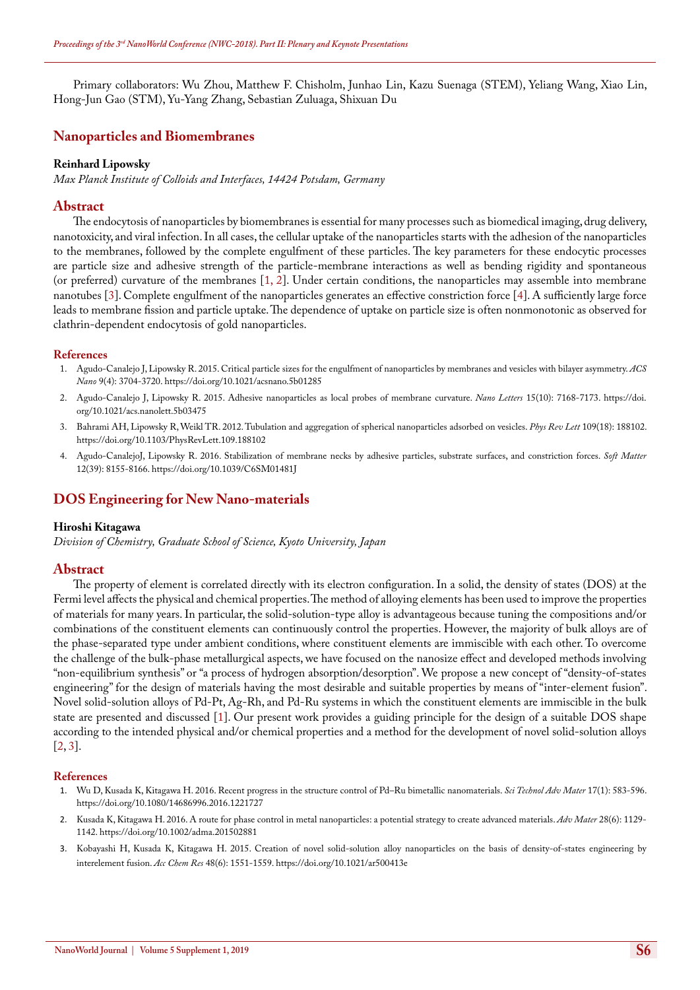Primary collaborators: Wu Zhou, Matthew F. Chisholm, Junhao Lin, Kazu Suenaga (STEM), Yeliang Wang, Xiao Lin, Hong-Jun Gao (STM), Yu-Yang Zhang, Sebastian Zuluaga, Shixuan Du

# **Nanoparticles and Biomembranes**

#### **Reinhard Lipowsky**

*Max Planck Institute of Colloids and Interfaces, 14424 Potsdam, Germany*

## **Abstract**

The endocytosis of nanoparticles by biomembranes is essential for many processes such as biomedical imaging, drug delivery, nanotoxicity, and viral infection. In all cases, the cellular uptake of the nanoparticles starts with the adhesion of the nanoparticles to the membranes, followed by the complete engulfment of these particles. The key parameters for these endocytic processes are particle size and adhesive strength of the particle-membrane interactions as well as bending rigidity and spontaneous (or preferred) curvature of the membranes [1, 2]. Under certain conditions, the nanoparticles may assemble into membrane nanotubes [3]. Complete engulfment of the nanoparticles generates an effective constriction force [4]. A sufficiently large force leads to membrane fission and particle uptake. The dependence of uptake on particle size is often nonmonotonic as observed for clathrin-dependent endocytosis of gold nanoparticles.

#### **References**

- 1. [Agudo-Canalejo J, Lipowsky R. 2015. Critical particle sizes for the engulfment of nanoparticles by membranes and vesicles with bilayer asymmetry.](https://www.ncbi.nlm.nih.gov/pubmed/25840649v) *ACS Nano* [9\(4\): 3704-3720.](https://www.ncbi.nlm.nih.gov/pubmed/25840649v) <https://doi.org/10.1021/acsnano.5b01285>
- 2. [Agudo-Canalejo J, Lipowsky R. 2015. Adhesive nanoparticles as local probes of membrane curvature.](https://www.ncbi.nlm.nih.gov/pubmed/26427748) *Nano Letters* 15(10): 7168-7173. [https://doi.](https://doi.org/10.1021/acs.nanolett.5b03475) [org/10.1021/acs.nanolett.5b03475](https://doi.org/10.1021/acs.nanolett.5b03475)
- 3. [Bahrami AH, Lipowsky R, Weikl TR. 2012. Tubulation and aggregation of spherical nanoparticles adsorbed on vesicles.](https://www.ncbi.nlm.nih.gov/pubmed/23215335) *Phys Rev Lett* 109(18): 188102. <https://doi.org/10.1103/PhysRevLett.109.188102>
- 4. [Agudo-CanalejoJ, Lipowsky R. 2016. Stabilization of membrane necks by adhesive particles, substrate surfaces, and constriction forces.](https://pubs.rsc.org/en/content/articlelanding/2016/sm/c6sm01481j) *Soft Matter*  [12\(39\): 8155-8166.](https://pubs.rsc.org/en/content/articlelanding/2016/sm/c6sm01481j) <https://doi.org/10.1039/C6SM01481J>

# **DOS Engineering for New Nano-materials**

## **Hiroshi Kitagawa**

*Division of Chemistry, Graduate School of Science, Kyoto University, Japan*

## **Abstract**

The property of element is correlated directly with its electron configuration. In a solid, the density of states (DOS) at the Fermi level affects the physical and chemical properties. The method of alloying elements has been used to improve the properties of materials for many years. In particular, the solid-solution-type alloy is advantageous because tuning the compositions and/or combinations of the constituent elements can continuously control the properties. However, the majority of bulk alloys are of the phase-separated type under ambient conditions, where constituent elements are immiscible with each other. To overcome the challenge of the bulk-phase metallurgical aspects, we have focused on the nanosize effect and developed methods involving "non-equilibrium synthesis" or "a process of hydrogen absorption/desorption". We propose a new concept of "density-of-states engineering" for the design of materials having the most desirable and suitable properties by means of "inter-element fusion". Novel solid-solution alloys of Pd-Pt, Ag-Rh, and Pd-Ru systems in which the constituent elements are immiscible in the bulk state are presented and discussed [1]. Our present work provides a guiding principle for the design of a suitable DOS shape according to the intended physical and/or chemical properties and a method for the development of novel solid-solution alloys [2, 3].

#### **References**

- 1. [Wu D, Kusada K, Kitagawa H. 2016. Recent progress in the structure control of Pd–Ru bimetallic nanomaterials.](https://www.ncbi.nlm.nih.gov/pmc/articles/PMC5111557/) *Sci Technol Adv Mater* 17(1): 583-596. <https://doi.org/10.1080/14686996.2016.1221727>
- 2. [Kusada K, Kitagawa H. 2016. A route for phase control in metal nanoparticles: a potential strategy to create advanced materials.](https://www.ncbi.nlm.nih.gov/pubmed/26539900) *Adv Mater* 28(6): 1129- [1142.](https://www.ncbi.nlm.nih.gov/pubmed/26539900) <https://doi.org/10.1002/adma.201502881>
- 3. [Kobayashi H, Kusada K, Kitagawa H. 2015. Creation of novel solid-solution alloy nanoparticles on the basis of density-of-states engineering by](https://www.ncbi.nlm.nih.gov/pubmed/25993560)  [interelement fusion.](https://www.ncbi.nlm.nih.gov/pubmed/25993560) *Acc Chem Res* 48(6): 1551-1559. <https://doi.org/10.1021/ar500413e>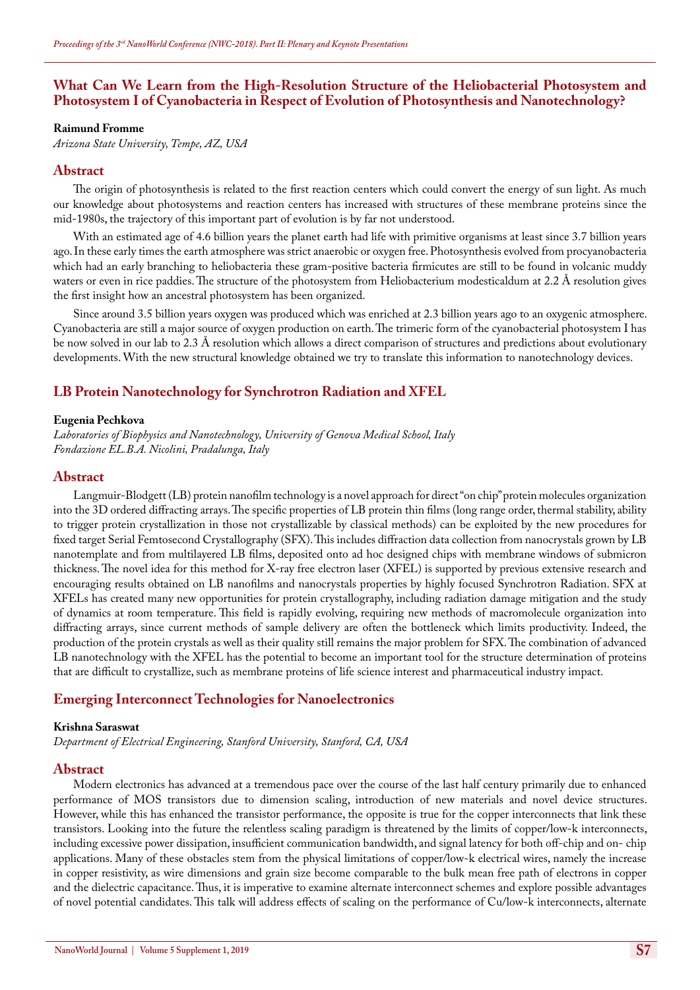# **What Can We Learn from the High-Resolution Structure of the Heliobacterial Photosystem and Photosystem I of Cyanobacteria in Respect of Evolution of Photosynthesis and Nanotechnology?**

#### **Raimund Fromme**

*Arizona State University, Tempe, AZ, USA*

## **Abstract**

The origin of photosynthesis is related to the first reaction centers which could convert the energy of sun light. As much our knowledge about photosystems and reaction centers has increased with structures of these membrane proteins since the mid-1980s, the trajectory of this important part of evolution is by far not understood.

With an estimated age of 4.6 billion years the planet earth had life with primitive organisms at least since 3.7 billion years ago. In these early times the earth atmosphere was strict anaerobic or oxygen free. Photosynthesis evolved from procyanobacteria which had an early branching to heliobacteria these gram-positive bacteria firmicutes are still to be found in volcanic muddy waters or even in rice paddies. The structure of the photosystem from Heliobacterium modesticaldum at 2.2 Å resolution gives the first insight how an ancestral photosystem has been organized.

Since around 3.5 billion years oxygen was produced which was enriched at 2.3 billion years ago to an oxygenic atmosphere. Cyanobacteria are still a major source of oxygen production on earth. The trimeric form of the cyanobacterial photosystem I has be now solved in our lab to 2.3 Å resolution which allows a direct comparison of structures and predictions about evolutionary developments. With the new structural knowledge obtained we try to translate this information to nanotechnology devices.

# **LB Protein Nanotechnology for Synchrotron Radiation and XFEL**

#### **Eugenia Pechkova**

*Laboratories of Biophysics and Nanotechnology, University of Genova Medical School, Italy Fondazione EL.B.A. Nicolini, Pradalunga, Italy*

## **Abstract**

Langmuir-Blodgett (LB) protein nanofilm technology is a novel approach for direct "on chip" protein molecules organization into the 3D ordered diffracting arrays. The specific properties of LB protein thin films (long range order, thermal stability, ability to trigger protein crystallization in those not crystallizable by classical methods) can be exploited by the new procedures for fixed target Serial Femtosecond Crystallography (SFX). This includes diffraction data collection from nanocrystals grown by LB nanotemplate and from multilayered LB films, deposited onto ad hoc designed chips with membrane windows of submicron thickness. The novel idea for this method for X-ray free electron laser (XFEL) is supported by previous extensive research and encouraging results obtained on LB nanofilms and nanocrystals properties by highly focused Synchrotron Radiation. SFX at XFELs has created many new opportunities for protein crystallography, including radiation damage mitigation and the study of dynamics at room temperature. This field is rapidly evolving, requiring new methods of macromolecule organization into diffracting arrays, since current methods of sample delivery are often the bottleneck which limits productivity. Indeed, the production of the protein crystals as well as their quality still remains the major problem for SFX. The combination of advanced LB nanotechnology with the XFEL has the potential to become an important tool for the structure determination of proteins that are difficult to crystallize, such as membrane proteins of life science interest and pharmaceutical industry impact.

## **Emerging Interconnect Technologies for Nanoelectronics**

## **Krishna Saraswat**

*Department of Electrical Engineering, Stanford University, Stanford, CA, USA*

## **Abstract**

Modern electronics has advanced at a tremendous pace over the course of the last half century primarily due to enhanced performance of MOS transistors due to dimension scaling, introduction of new materials and novel device structures. However, while this has enhanced the transistor performance, the opposite is true for the copper interconnects that link these transistors. Looking into the future the relentless scaling paradigm is threatened by the limits of copper/low-k interconnects, including excessive power dissipation, insufficient communication bandwidth, and signal latency for both off-chip and on- chip applications. Many of these obstacles stem from the physical limitations of copper/low-k electrical wires, namely the increase in copper resistivity, as wire dimensions and grain size become comparable to the bulk mean free path of electrons in copper and the dielectric capacitance. Thus, it is imperative to examine alternate interconnect schemes and explore possible advantages of novel potential candidates. This talk will address effects of scaling on the performance of Cu/low-k interconnects, alternate